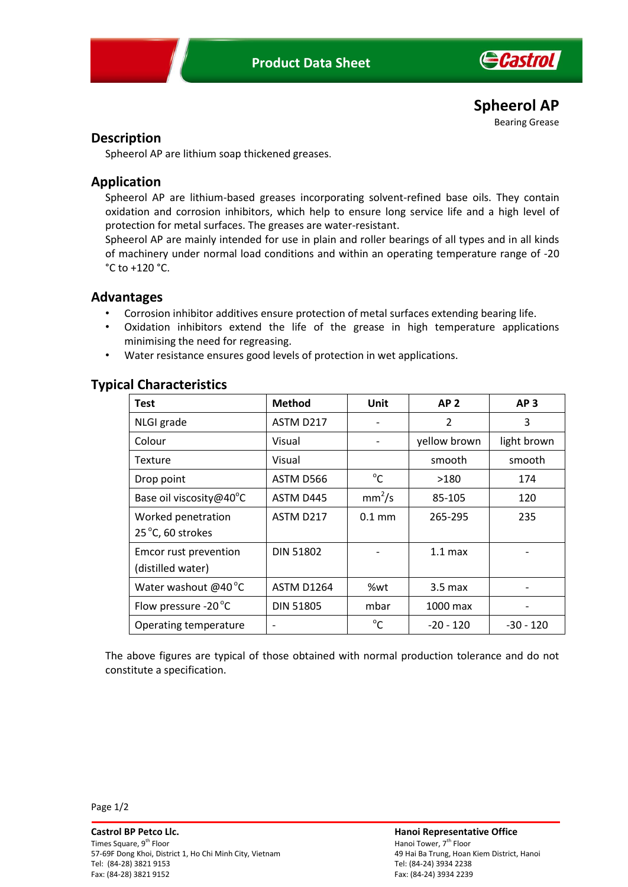

**Spheerol AP** Bearing Grease

# **Description**

Spheerol AP are lithium soap thickened greases.

# **Application**

Spheerol AP are lithium-based greases incorporating solvent-refined base oils. They contain oxidation and corrosion inhibitors, which help to ensure long service life and a high level of protection for metal surfaces. The greases are water-resistant.

Spheerol AP are mainly intended for use in plain and roller bearings of all types and in all kinds of machinery under normal load conditions and within an operating temperature range of -20 °C to +120 °C.

### **Advantages**

- Corrosion inhibitor additives ensure protection of metal surfaces extending bearing life.
- Oxidation inhibitors extend the life of the grease in high temperature applications minimising the need for regreasing.
- Water resistance ensures good levels of protection in wet applications.

| <b>Test</b>                   | <b>Method</b>     | Unit               | AP <sub>2</sub>   | AP <sub>3</sub> |
|-------------------------------|-------------------|--------------------|-------------------|-----------------|
| NLGI grade                    | ASTM D217         |                    | $\overline{2}$    | 3               |
| Colour                        | Visual            |                    | yellow brown      | light brown     |
| Texture                       | Visual            |                    | smooth            | smooth          |
| Drop point                    | ASTM D566         | $^{\circ}$ C       | >180              | 174             |
| Base oil viscosity@40°C       | ASTM D445         | mm <sup>2</sup> /s | 85-105            | 120             |
| Worked penetration            | ASTM D217         | $0.1$ mm           | 265-295           | 235             |
| 25 °C, 60 strokes             |                   |                    |                   |                 |
| Emcor rust prevention         | <b>DIN 51802</b>  |                    | $1.1 \text{ max}$ |                 |
| (distilled water)             |                   |                    |                   |                 |
| Water washout $@40^{\circ}$ C | <b>ASTM D1264</b> | %wt                | $3.5 \text{ max}$ |                 |
| Flow pressure -20 °C          | <b>DIN 51805</b>  | mbar               | 1000 max          |                 |
| Operating temperature         |                   | $^{\circ}$ C       | $-20 - 120$       | $-30 - 120$     |

## **Typical Characteristics**

The above figures are typical of those obtained with normal production tolerance and do not constitute a specification.

Page 1/2